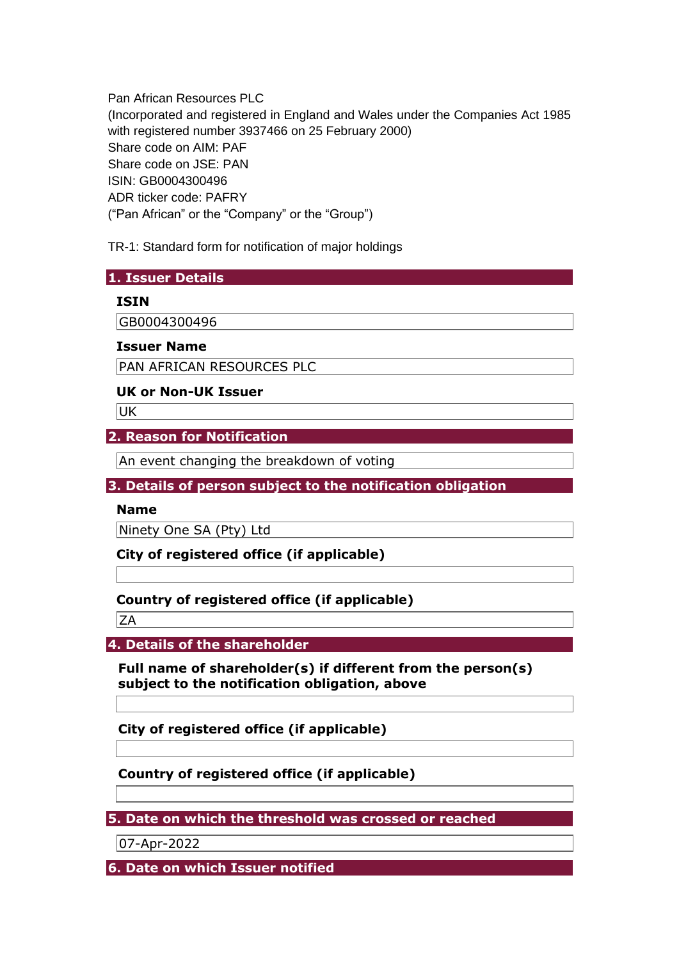Pan African Resources PLC (Incorporated and registered in England and Wales under the Companies Act 1985 with registered number 3937466 on 25 February 2000) Share code on AIM: PAF Share code on JSE: PAN ISIN: GB0004300496 ADR ticker code: PAFRY ("Pan African" or the "Company" or the "Group")

TR-1: Standard form for notification of major holdings

### **1. Issuer Details**

### **ISIN**

GB0004300496

#### **Issuer Name**

PAN AFRICAN RESOURCES PLC

### **UK or Non-UK Issuer**

UK

# **2. Reason for Notification**

An event changing the breakdown of voting

# **3. Details of person subject to the notification obligation**

#### **Name**

Ninety One SA (Pty) Ltd

**City of registered office (if applicable)** 

# **Country of registered office (if applicable)**

 $ZA$ 

**4. Details of the shareholder** 

**Full name of shareholder(s) if different from the person(s) subject to the notification obligation, above** 

**City of registered office (if applicable)** 

# **Country of registered office (if applicable)**

**5. Date on which the threshold was crossed or reached** 

07-Apr-2022

**6. Date on which Issuer notified**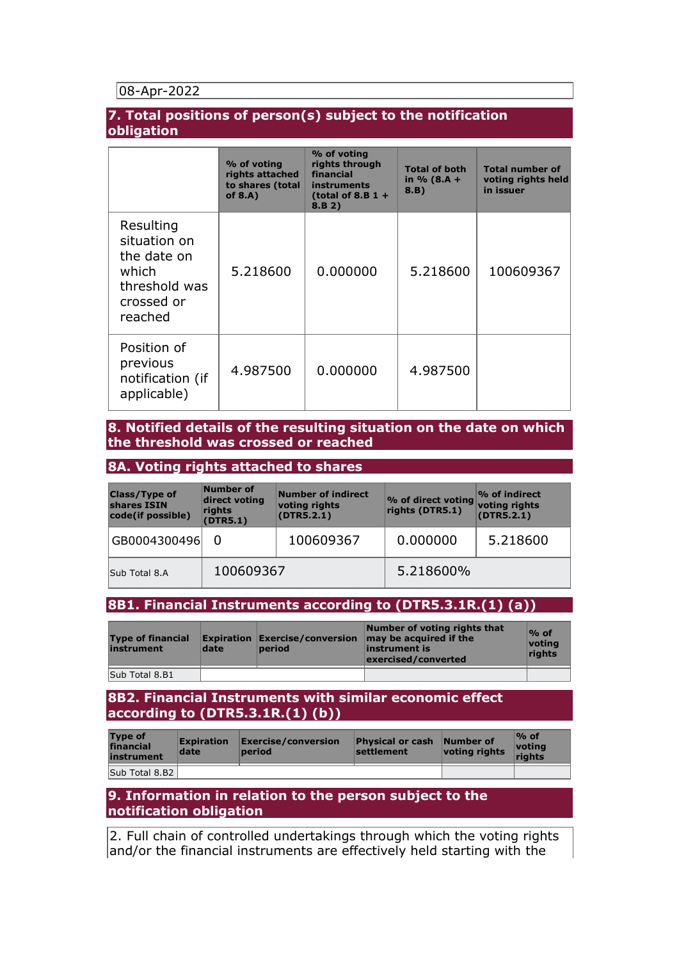### 08-Apr-2022

#### **7. Total positions of person(s) subject to the notification obligation**

|                                                                                             | % of voting<br>rights attached<br>to shares (total<br>of $8.A$ ) | % of voting<br>rights through<br>financial<br>instruments<br>(total of 8.B $1 +$<br>8.B 2) | <b>Total of both</b><br>in $% (8.A + )$<br>8.B) | <b>Total number of</b><br>voting rights held<br>in issuer |
|---------------------------------------------------------------------------------------------|------------------------------------------------------------------|--------------------------------------------------------------------------------------------|-------------------------------------------------|-----------------------------------------------------------|
| Resulting<br>situation on<br>the date on<br>which<br>threshold was<br>crossed or<br>reached | 5.218600                                                         | 0.000000                                                                                   | 5.218600                                        | 100609367                                                 |
| Position of<br>previous<br>notification (if<br>applicable)                                  | 4.987500                                                         | 0.000000                                                                                   | 4.987500                                        |                                                           |

#### **8. Notified details of the resulting situation on the date on which the threshold was crossed or reached**

#### **8A. Voting rights attached to shares**

| <b>Class/Type of</b><br>shares ISIN<br>code(if possible) | Number of<br>direct voting<br>rights<br>(DTR5.1) | Number of indirect<br>voting rights<br>(DTR5.2.1) | % of direct voting<br>rights (DTR5.1) | $\%$ of indirect<br>voting rights<br>(DTR5.2.1) |
|----------------------------------------------------------|--------------------------------------------------|---------------------------------------------------|---------------------------------------|-------------------------------------------------|
| GB0004300496                                             |                                                  | 100609367                                         | 0.000000                              | 5.218600                                        |
| Sub Total 8.A                                            | 100609367                                        |                                                   | 5.218600%                             |                                                 |

#### **8B1. Financial Instruments according to (DTR5.3.1R.(1) (a))**

| <b>Type of financial</b><br>instrument | date | period | Number of voting rights that<br><b>Expiration Exercise/conversion <math>\vert</math> may be acquired if the</b><br>linstrument is<br>exercised/converted | $\%$ of<br>votina<br>riahts |
|----------------------------------------|------|--------|----------------------------------------------------------------------------------------------------------------------------------------------------------|-----------------------------|
| Sub Total 8.B1                         |      |        |                                                                                                                                                          |                             |

### **8B2. Financial Instruments with similar economic effect according to (DTR5.3.1R.(1) (b))**

| <b>Type of</b><br>financial<br>instrument | <b>Expiration</b><br>date | Exercise/conversion<br>period | <b>Physical or cash</b><br>settlement | Number of<br>voting rights | $\%$ of<br>votina<br>riahts |
|-------------------------------------------|---------------------------|-------------------------------|---------------------------------------|----------------------------|-----------------------------|
| Sub Total 8.B2                            |                           |                               |                                       |                            |                             |

# **9. Information in relation to the person subject to the notification obligation**

2. Full chain of controlled undertakings through which the voting rights and/or the financial instruments are effectively held starting with the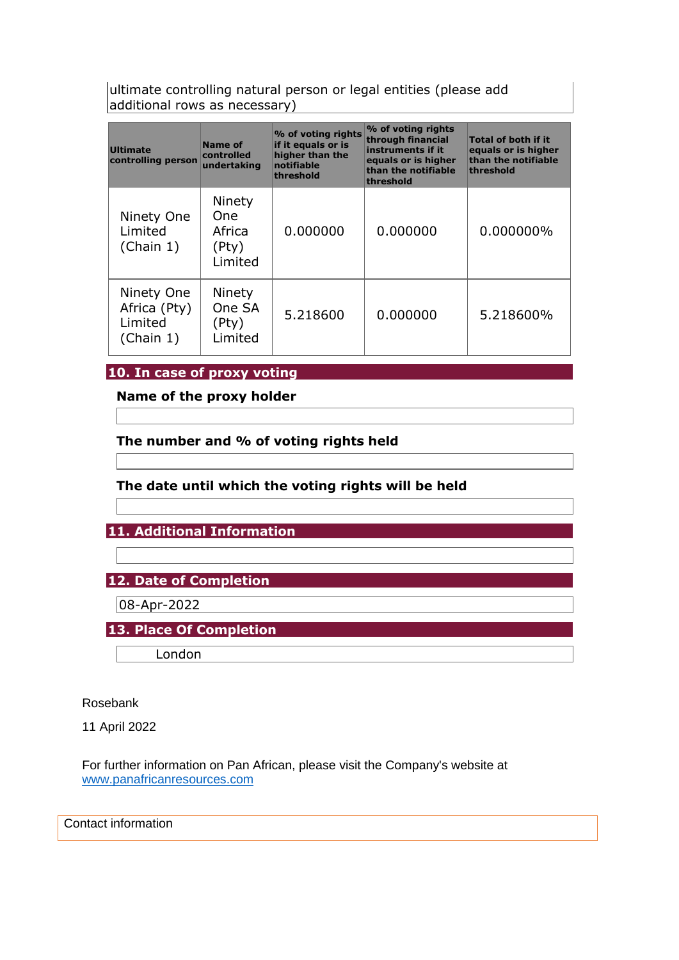ultimate controlling natural person or legal entities (please add additional rows as necessary)

| <b>Ultimate</b><br>controlling person              | Name of<br>controlled<br>undertaking         | % of voting rights<br>if it equals or is<br>higher than the<br>notifiable<br>threshold | % of voting rights<br>through financial<br>instruments if it<br>equals or is higher<br>than the notifiable<br>threshold | <b>Total of both if it</b><br>equals or is higher<br>than the notifiable<br>threshold |
|----------------------------------------------------|----------------------------------------------|----------------------------------------------------------------------------------------|-------------------------------------------------------------------------------------------------------------------------|---------------------------------------------------------------------------------------|
| Ninety One<br>Limited<br>(Chain 1)                 | Ninety<br>One.<br>Africa<br>(Pty)<br>Limited | 0.000000                                                                               | 0.000000                                                                                                                | 0.000000%                                                                             |
| Ninety One<br>Africa (Pty)<br>Limited<br>(Chain 1) | Ninety<br>One SA<br>(Pty)<br>Limited         | 5.218600                                                                               | 0.000000                                                                                                                | 5.218600%                                                                             |

### **10. In case of proxy voting**

**Name of the proxy holder** 

**The number and % of voting rights held** 

# **The date until which the voting rights will be held**

**11. Additional Information** 

**12. Date of Completion** 

08-Apr-2022

**13. Place Of Completion** 

London

Rosebank

11 April 2022

For further information on Pan African, please visit the Company's website at [www.panafricanresources.com](http://www.panafricanresources.com/)

Contact information